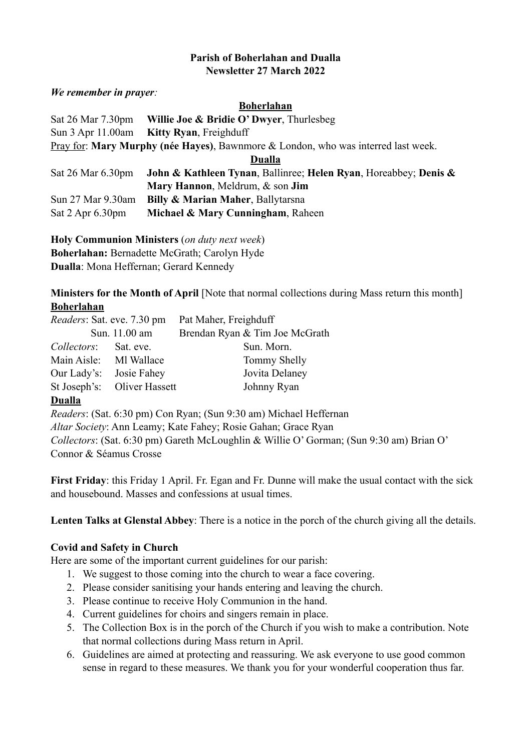# **Parish of Boherlahan and Dualla Newsletter 27 March 2022**

*We remember in prayer:* 

#### **Boherlahan**

| Sat 26 Mar 7.30pm                                                                 | Willie Joe & Bridie O' Dwyer, Thurlesbeg                         |  |  |
|-----------------------------------------------------------------------------------|------------------------------------------------------------------|--|--|
| Sun $3$ Apr $11.00$ am                                                            | Kitty Ryan, Freighduff                                           |  |  |
| Pray for: Mary Murphy (née Hayes), Bawnmore & London, who was interred last week. |                                                                  |  |  |
|                                                                                   | Dualla                                                           |  |  |
| Sat $26$ Mar $6.30$ pm                                                            | John & Kathleen Tynan, Ballinree; Helen Ryan, Horeabbey; Denis & |  |  |
|                                                                                   | Mary Hannon, Meldrum, & son Jim                                  |  |  |
| Sun 27 Mar 9.30am                                                                 | Billy & Marian Maher, Ballytarsna                                |  |  |
| Sat 2 Apr 6.30pm                                                                  | Michael & Mary Cunningham, Raheen                                |  |  |

**Holy Communion Ministers** (*on duty next week*) **Boherlahan:** Bernadette McGrath; Carolyn Hyde **Dualla**: Mona Heffernan; Gerard Kennedy

**Ministers for the Month of April** [Note that normal collections during Mass return this month] **Boherlahan**

| <i>Readers: Sat. eve. 7.30 pm</i> |                             | Pat Maher, Freighduff          |
|-----------------------------------|-----------------------------|--------------------------------|
| Sun. 11.00 am                     |                             | Brendan Ryan & Tim Joe McGrath |
| <i>Collectors</i> : Sat. eve.     |                             | Sun. Morn.                     |
| Main Aisle: MI Wallace            |                             | Tommy Shelly                   |
| Our Lady's:                       | Josie Fahey                 | Jovita Delaney                 |
|                                   | St Joseph's: Oliver Hassett | Johnny Ryan                    |
| <b>Dualla</b>                     |                             |                                |
|                                   |                             |                                |

*Readers*: (Sat. 6:30 pm) Con Ryan; (Sun 9:30 am) Michael Heffernan *Altar Society*: Ann Leamy; Kate Fahey; Rosie Gahan; Grace Ryan *Collectors*: (Sat. 6:30 pm) Gareth McLoughlin & Willie O' Gorman; (Sun 9:30 am) Brian O' Connor & Séamus Crosse

**First Friday**: this Friday 1 April. Fr. Egan and Fr. Dunne will make the usual contact with the sick and housebound. Masses and confessions at usual times.

**Lenten Talks at Glenstal Abbey**: There is a notice in the porch of the church giving all the details.

### **Covid and Safety in Church**

Here are some of the important current guidelines for our parish:

- 1. We suggest to those coming into the church to wear a face covering.
- 2. Please consider sanitising your hands entering and leaving the church.
- 3. Please continue to receive Holy Communion in the hand.
- 4. Current guidelines for choirs and singers remain in place.
- 5. The Collection Box is in the porch of the Church if you wish to make a contribution. Note that normal collections during Mass return in April.
- 6. Guidelines are aimed at protecting and reassuring. We ask everyone to use good common sense in regard to these measures. We thank you for your wonderful cooperation thus far.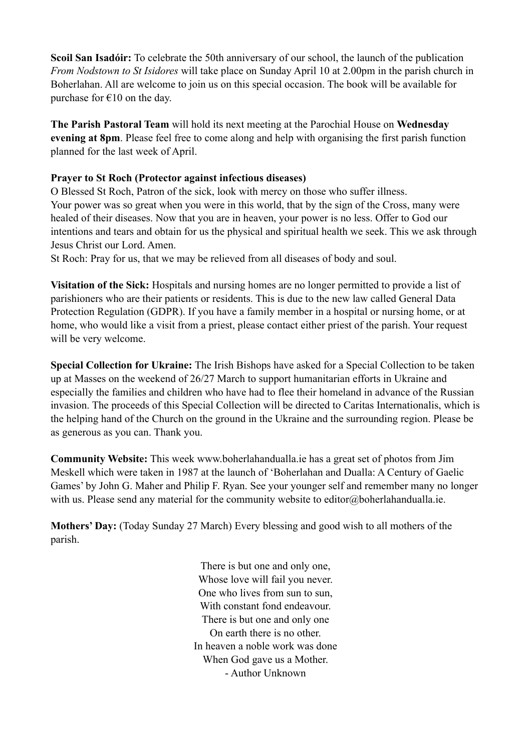**Scoil San Isadóir:** To celebrate the 50th anniversary of our school, the launch of the publication *From Nodstown to St Isidores* will take place on Sunday April 10 at 2.00pm in the parish church in Boherlahan. All are welcome to join us on this special occasion. The book will be available for purchase for  $\epsilon$ 10 on the day.

**The Parish Pastoral Team** will hold its next meeting at the Parochial House on **Wednesday evening at 8pm**. Please feel free to come along and help with organising the first parish function planned for the last week of April.

# **Prayer to St Roch (Protector against infectious diseases)**

O Blessed St Roch, Patron of the sick, look with mercy on those who suffer illness. Your power was so great when you were in this world, that by the sign of the Cross, many were healed of their diseases. Now that you are in heaven, your power is no less. Offer to God our intentions and tears and obtain for us the physical and spiritual health we seek. This we ask through Jesus Christ our Lord. Amen.

St Roch: Pray for us, that we may be relieved from all diseases of body and soul.

**Visitation of the Sick:** Hospitals and nursing homes are no longer permitted to provide a list of parishioners who are their patients or residents. This is due to the new law called General Data Protection Regulation (GDPR). If you have a family member in a hospital or nursing home, or at home, who would like a visit from a priest, please contact either priest of the parish. Your request will be very welcome.

**Special Collection for Ukraine:** The Irish Bishops have asked for a Special Collection to be taken up at Masses on the weekend of 26/27 March to support humanitarian efforts in Ukraine and especially the families and children who have had to flee their homeland in advance of the Russian invasion. The proceeds of this Special Collection will be directed to Caritas Internationalis, which is the helping hand of the Church on the ground in the Ukraine and the surrounding region. Please be as generous as you can. Thank you.

**Community Website:** This week www.boherlahandualla.ie has a great set of photos from Jim Meskell which were taken in 1987 at the launch of 'Boherlahan and Dualla: A Century of Gaelic Games' by John G. Maher and Philip F. Ryan. See your younger self and remember many no longer with us. Please send any material for the community website to editor@boherlahandualla.ie.

**Mothers' Day:** (Today Sunday 27 March) Every blessing and good wish to all mothers of the parish.

> There is but one and only one, Whose love will fail you never. One who lives from sun to sun, With constant fond endeavour. There is but one and only one On earth there is no other. In heaven a noble work was done When God gave us a Mother. - Author Unknown